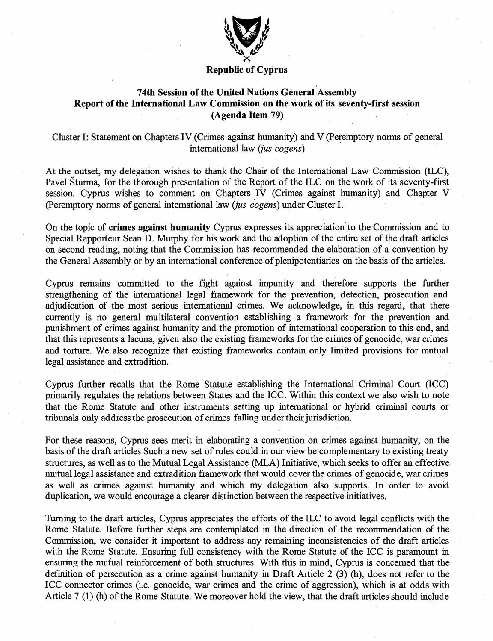

## Republic of Cyprus

## 74th Session of the United Nations General Assembly Report of the International Law Commission on the work of its seventy-flrst session (Agenda Item 79)

Cluster I: Statement on Chapters IV (Crimes against humanity) and V (Peremptory norms of general international law (*jus cogens*)

At the outset, my delegation wishes to thank the Chair of the Intemational Law Commission (ILC), Pavel Sturma, for the thorough presentation of the Report of the ILC on the work of its seventy-first session. Cyprus wishes to comment on Chapters IV (Crimes against humanity) and Chapter V (Peremptory norms of general international law *(jus cogens)* under Cluster I.

On the topic of crimes against humanity Cypras expresses its appreciation to the Commission and to Special Rapporteur Sean D. Murphy for his work and the adoption of the entire set of the draft articles on second reading, noting that the Commission has recommended the elaboration of a convention by the General Assembly or by an intemational conference of plenipotentiaries on the basis of the articles.

Cypms remains committed to the fight against impimity and therefore supports the further strengthening of the intemational legal framework for the prevention, detection, prosecution and adjudication of the most serious intemational crimes. We acknowledge, in this regard, that there currently is no general multilateral convention establishing a framework for the prevention and punishment of crimes against humanity and the promotion of international cooperation to this end, and that this represents a lacuna, given also the existing frameworks for the crimes of genocide, war crimes and torture. We also recognize that existing frameworks contain only limited provisions for mutual legal assistance and extradition.

Cyprus further recalls that the Rome Statute establishing the International Criminal Court (ICC) primarily regulates the relations between States and the ICC. Within this context we also wish to note that the Rome Statute and other instruments setting up intemational or hybrid criminal courts or tribimals only address the prosecution of crimes falling under their jurisdiction.

For these reasons, Cyprus sees merit in elaborating a convention on crimes against humanity, on the basis of the draft articles Such a new set of mles could in our view be complementary to existing treaty stmctures, as well as to the Mutual Legal Assistance (MLA) Initiative, which seeks to offer an effective mutual legal assistance and extradition framework that would cover the crimes of genocide, war crimes as well as crimes against humanity and which my delegation also supports. In order to avoid duplication, we would encourage a clearer distinction between the respective initiatives.

Tuming to the draft articles, Cypms appreciates the efforts of the ILC to avoid legal conflicts with the Rome Statute. Before further steps are contemplated in the direction of the recommendation of the Commission, we consider it important to address any remaining inconsistencies of the draft articles with the Rome Statute. Ensuring full consistency with the Rome Statute of the ICC is paramount in ensuring the mutual reinforcement of both structures. With this in mind, Cyprus is concerned that the definition of persecution as a crime against humanity in Draft Article 2 (3) (h), does not refer to the ICC connector crimes (i.e. genocide, war crimes and the crime of aggression), which is at odds with Article 7 (1) (h) of the Rome Statute. We moreover hold the view, that the draft articles should include